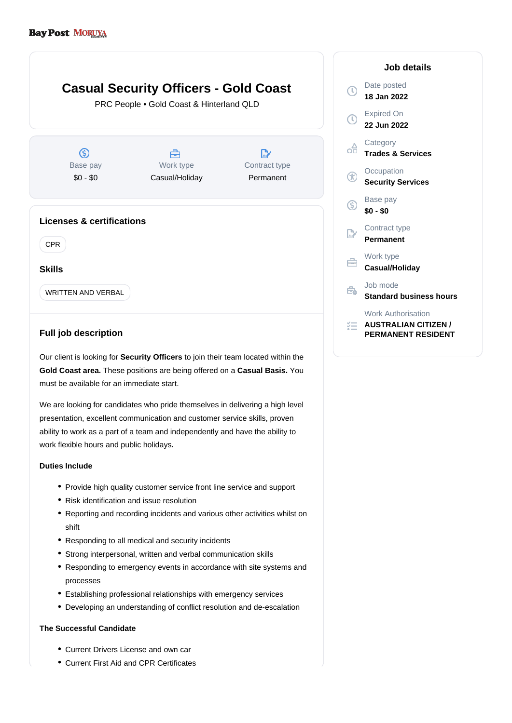## **Casual Security Officers - Gold Coast**  $\circ$ PRC People • Gold Coast & Hinterland QLD  $\bigcap$ ക്  $\circledS$ 合  $\mathbb{R}^{\cdot}$ Base pay Work type Contract type ® \$0 - \$0 Casual/Holiday Permanent  $\circledS$ **Licenses & certifications**  $\mathbb{R}^*$ CPR 启 **Skills** Ê. WRITTEN AND VERBAL 狂

## **Full job description**

Our client is looking for **Security Officers** to join their team located within the Gold Coast area. These positions are being offered on a Casual Basis. You must be available for an immediate start.

We are looking for candidates who pride themselves in delivering a high level presentation, excellent communication and customer service skills, proven ability to work as a part of a team and independently and have the ability to work flexible hours and public holidays**.**

## **Duties Include**

- Provide high quality customer service front line service and support
- Risk identification and issue resolution
- Reporting and recording incidents and various other activities whilst on shift
- Responding to all medical and security incidents
- Strong interpersonal, written and verbal communication skills
- Responding to emergency events in accordance with site systems and processes
- Establishing professional relationships with emergency services
- Developing an understanding of conflict resolution and de-escalation

## **The Successful Candidate**

- Current Drivers License and own car
- Current First Aid and CPR Certificates

| Job details                                                                           |
|---------------------------------------------------------------------------------------|
| Date posted<br>18 Jan 2022                                                            |
| <b>Expired On</b><br>22 Jun 2022                                                      |
| Category<br><b>Trades &amp; Services</b>                                              |
| Occupation<br><b>Security Services</b>                                                |
| Base pay<br>\$0 - \$0                                                                 |
| Contract type<br>Permanent                                                            |
| Work type<br>Casual/Holiday                                                           |
| Job mode<br><b>Standard business hours</b>                                            |
| <b>Work Authorisation</b><br><b>AUSTRALIAN CITIZEN /</b><br><b>PERMANENT RESIDENT</b> |